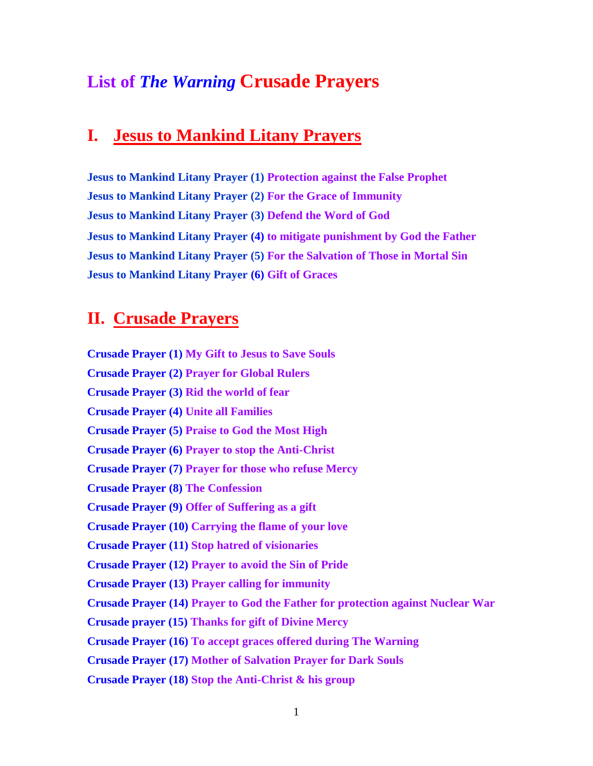## **List of** *The Warning* **Crusade Prayers**

## **I. Jesus to Mankind Litany Prayers**

**Jesus to Mankind Litany Prayer (1) Protection against the False Prophet Jesus to Mankind Litany Prayer (2) For the Grace of Immunity Jesus to Mankind Litany Prayer (3) Defend the Word of God Jesus to Mankind Litany Prayer (4) to mitigate punishment by God the Father Jesus to Mankind Litany Prayer (5) For the Salvation of Those in Mortal Sin Jesus to Mankind Litany Prayer (6) Gift of Graces**

## **II. Crusade Prayers**

**Crusade Prayer (1) My Gift to Jesus to Save Souls Crusade Prayer (2) Prayer for Global Rulers Crusade Prayer (3) Rid the world of fear Crusade Prayer (4) Unite all Families Crusade Prayer (5) Praise to God the Most High Crusade Prayer (6) Prayer to stop the Anti-Christ Crusade Prayer (7) Prayer for those who refuse Mercy Crusade Prayer (8) The Confession Crusade Prayer (9) Offer of Suffering as a gift Crusade Prayer (10) Carrying the flame of your love Crusade Prayer (11) Stop hatred of visionaries Crusade Prayer (12) Prayer to avoid the Sin of Pride Crusade Prayer (13) Prayer calling for immunity Crusade Prayer (14) Prayer to God the Father for protection against Nuclear War Crusade prayer (15) Thanks for gift of Divine Mercy Crusade Prayer (16) To accept graces offered during The Warning Crusade Prayer (17) Mother of Salvation Prayer for Dark Souls Crusade Prayer (18) Stop the Anti-Christ & his group**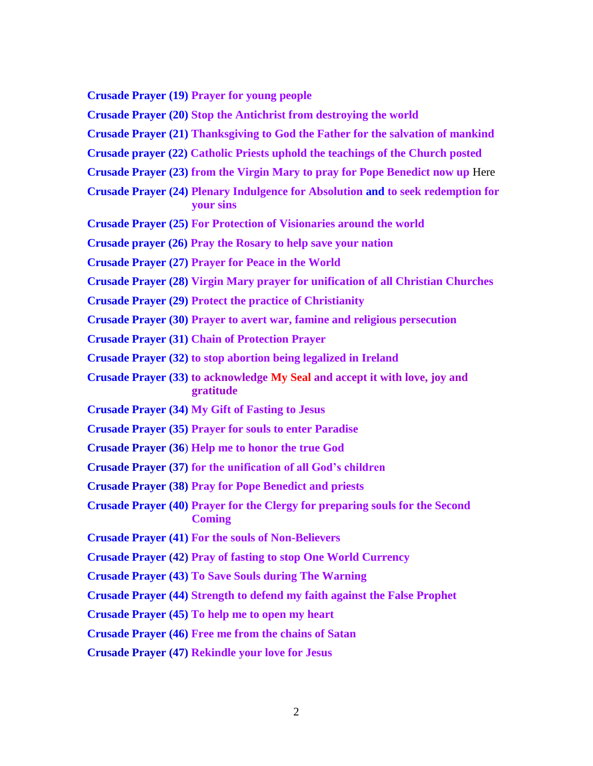**Crusade Prayer (19) Prayer for young people**

**Crusade Prayer (20) Stop the Antichrist from destroying the world**

**Crusade Prayer (21) Thanksgiving to God the Father for the salvation of mankind**

**Crusade prayer (22) Catholic Priests uphold the teachings of the Church posted** 

**Crusade Prayer (23) from the Virgin Mary to pray for Pope Benedict now up** Here

- **Crusade Prayer (24) Plenary Indulgence for Absolution and to seek redemption for your sins**
- **Crusade Prayer (25) For Protection of Visionaries around the world**

**Crusade prayer (26) Pray the Rosary to help save your nation**

**Crusade Prayer (27) Prayer for Peace in the World**

**Crusade Prayer (28) Virgin Mary prayer for unification of all Christian Churches**

**Crusade Prayer (29) Protect the practice of Christianity**

**Crusade Prayer (30) Prayer to avert war, famine and religious persecution**

**Crusade Prayer (31) Chain of Protection Prayer**

**Crusade Prayer (32) to stop abortion being legalized in Ireland** 

- **Crusade Prayer (33) to acknowledge My Seal and accept it with love, joy and gratitude**
- **Crusade Prayer (34) My Gift of Fasting to Jesus**

**Crusade Prayer (35) Prayer for souls to enter Paradise**

**Crusade Prayer (36**) **Help me to honor the true God**

**Crusade Prayer (37) for the unification of all God's children**

**Crusade Prayer (38) Pray for Pope Benedict and priests**

**Crusade Prayer (40) Prayer for the Clergy for preparing souls for the Second Coming**

**Crusade Prayer (41) For the souls of Non-Believers**

**Crusade Prayer (42) Pray of fasting to stop One World Currency**

**Crusade Prayer (43) To Save Souls during The Warning**

**Crusade Prayer (44) Strength to defend my faith against the False Prophet**

**Crusade Prayer (45) To help me to open my heart**

**Crusade Prayer (46) Free me from the chains of Satan**

**Crusade Prayer (47) Rekindle your love for Jesus**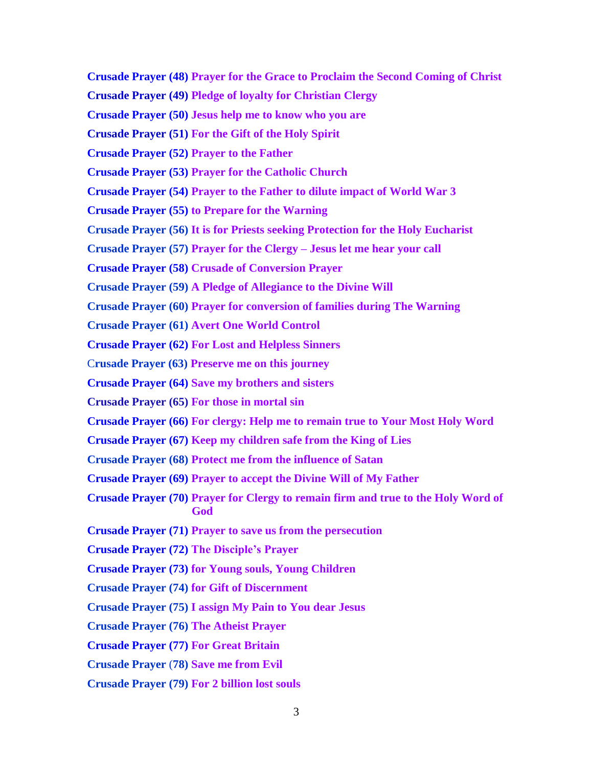- **Crusade Prayer (48) Prayer for the Grace to Proclaim the Second Coming of Christ**
- **Crusade Prayer (49) Pledge of loyalty for Christian Clergy**
- **Crusade Prayer (50) Jesus help me to know who you are**
- **Crusade Prayer (51) For the Gift of the Holy Spirit**
- **Crusade Prayer (52) Prayer to the Father**
- **Crusade Prayer (53) Prayer for the Catholic Church**
- **Crusade Prayer (54) Prayer to the Father to dilute impact of World War 3**
- **Crusade Prayer (55) to Prepare for the Warning**
- **Crusade Prayer (56) It is for Priests seeking Protection for the Holy Eucharist**
- **Crusade Prayer (57) Prayer for the Clergy – Jesus let me hear your call**
- **Crusade Prayer (58) Crusade of Conversion Prayer**
- **Crusade Prayer (59) A Pledge of Allegiance to the Divine Will**
- **Crusade Prayer (60) Prayer for conversion of families during The Warning**
- **Crusade Prayer (61) Avert One World Control**
- **Crusade Prayer (62) For Lost and Helpless Sinners**
- C**rusade Prayer (63) Preserve me on this journey**
- **Crusade Prayer (64) Save my brothers and sisters**
- **Crusade Prayer (65) For those in mortal sin**
- **Crusade Prayer (66) For clergy: Help me to remain true to Your Most Holy Word**
- **Crusade Prayer (67) Keep my children safe from the King of Lies**
- **Crusade Prayer (68) Protect me from the influence of Satan**
- **[Crusade Prayer \(69\) Prayer to accept the Divine Will of My Father](http://www.thewarningsecondcoming.com/crusade-of-prayer-69-prayer-to-accept-the-divine-will-of-my-father/)**
- **Crusade Prayer (70) Prayer for Clergy to remain firm and true to the Holy Word of God**
- **Crusade Prayer (71) Prayer to save us from the persecution**
- **Crusade Prayer (72) The Disciple's Prayer**
- **Crusade Prayer (73) for Young souls, Young Children**
- **Crusade Prayer (74) for Gift of Discernment**
- **Crusade Prayer (75) I assign My Pain to You dear Jesus**
- **Crusade Prayer (76) The Atheist Prayer**
- **Crusade Prayer (77) For Great Britain**
- **Crusade Prayer** (**78) Save me from Evil**
- **Crusade Prayer (79) For 2 billion lost souls**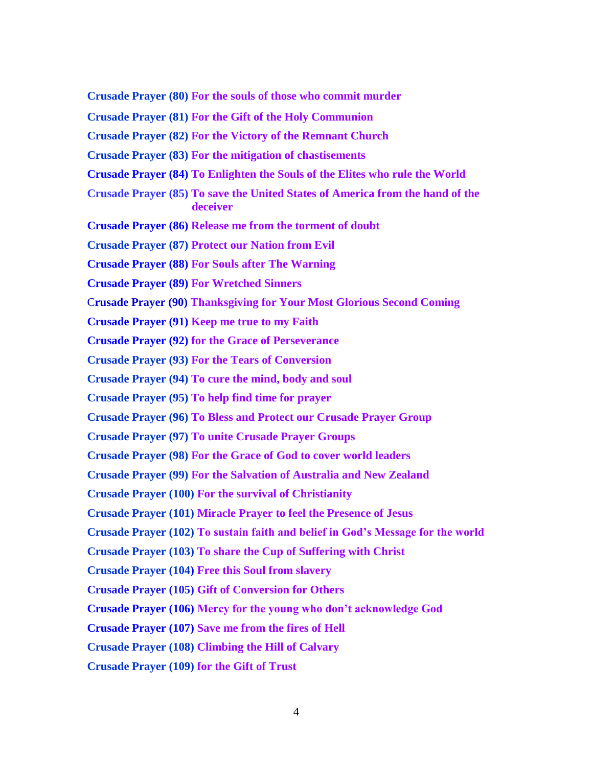**Crusade Prayer (80) For the souls of those who commit murder**

**Crusade Prayer (81) For the Gift of the Holy Communion**

**Crusade Prayer (82) For the Victory of the Remnant Church**

**Crusade Prayer (83) For the mitigation of chastisements**

- **Crusade Prayer (84) To Enlighten the Souls of the Elites who rule the World**
- **Crusade Prayer (85) To save the United States of America from the hand of the deceiver**

**Crusade Prayer (86) Release me from the torment of doubt**

**Crusade Prayer (87) Protect our Nation from Evil**

**Crusade Prayer (88) For Souls after The Warning**

**Crusade Prayer (89) For Wretched Sinners**

C**rusade Prayer (90) Thanksgiving for Your Most Glorious Second Coming**

**Crusade Prayer (91) Keep me true to my Faith**

**Crusade Prayer (92) for the Grace of Perseverance**

**Crusade Prayer (93) For the Tears of Conversion**

**Crusade Prayer (94) To cure the mind, body and soul**

**Crusade Prayer (95) To help find time for prayer**

**Crusade Prayer (96) To Bless and Protect our Crusade Prayer Group**

**Crusade Prayer (97) To unite Crusade Prayer Groups**

**Crusade Prayer (98) For the Grace of God to cover world leaders**

**Crusade Prayer (99) For the Salvation of Australia and New Zealand**

**Crusade Prayer (100) For the survival of Christianity**

**Crusade Prayer (101) Miracle Prayer to feel the Presence of Jesus**

**Crusade Prayer (102) To sustain faith and belief in God's Message for the world**

**Crusade Prayer (103) To share the Cup of Suffering with Christ**

**Crusade Prayer (104) Free this Soul from slavery**

**Crusade Prayer (105) Gift of Conversion for Others**

**Crusade Prayer (106) Mercy for the young who don't acknowledge God**

**Crusade Prayer (107) Save me from the fires of Hell**

**Crusade Prayer (108) Climbing the Hill of Calvary**

**Crusade Prayer (109) for the Gift of Trust**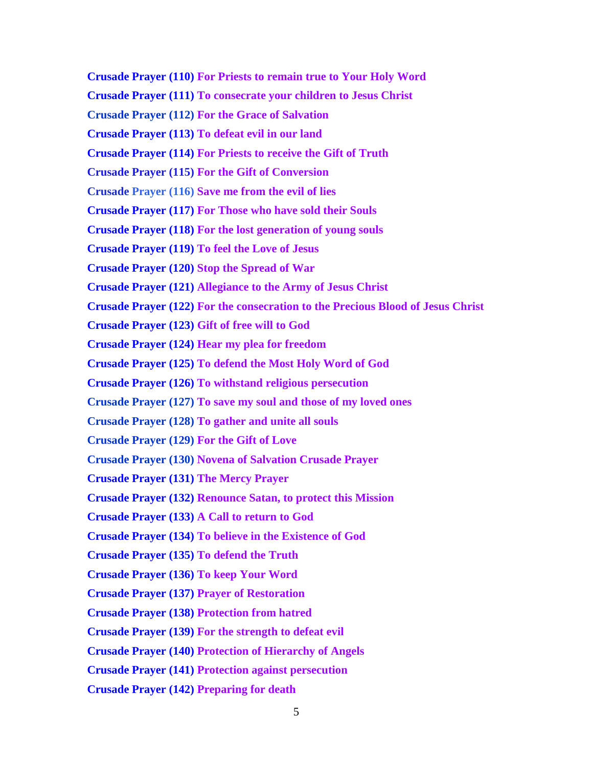5 **Crusade Prayer (110) For Priests to remain true to Your Holy Word Crusade Prayer (111) To consecrate your children to Jesus Christ Crusade Prayer (112) For the Grace of Salvation Crusade Prayer (113) To defeat evil in our land Crusade Prayer (114) For Priests to receive the Gift of Truth Crusade Prayer (115) For the Gift of Conversion Crusade Prayer (116) Save me from the evil of lies Crusade Prayer (117) For Those who have sold their Souls Crusade Prayer (118) For the lost generation of young souls Crusade Prayer (119) To feel the Love of Jesus Crusade Prayer (120) Stop the Spread of War Crusade Prayer (121) Allegiance to the Army of Jesus Christ Crusade Prayer (122) For the consecration to the Precious Blood of Jesus Christ Crusade Prayer (123) Gift of free will to God Crusade Prayer (124) Hear my plea for freedom Crusade Prayer (125) To defend the Most Holy Word of God Crusade Prayer (126) To withstand religious persecution Crusade Prayer (127) To save my soul and those of my loved ones Crusade Prayer (128) To gather and unite all souls Crusade Prayer (129) For the Gift of Love Crusade Prayer (130) Novena of Salvation Crusade Prayer Crusade Prayer (131) The Mercy Prayer Crusade Prayer (132) Renounce Satan, to protect this Mission Crusade Prayer (133) A Call to return to God Crusade Prayer (134) To believe in the Existence of God Crusade Prayer (135) To defend the Truth Crusade Prayer (136) To keep Your Word Crusade Prayer (137) Prayer of Restoration Crusade Prayer (138) Protection from hatred Crusade Prayer (139) For the strength to defeat evil Crusade Prayer (140) Protection of Hierarchy of Angels Crusade Prayer (141) Protection against persecution Crusade Prayer (142) Preparing for death**